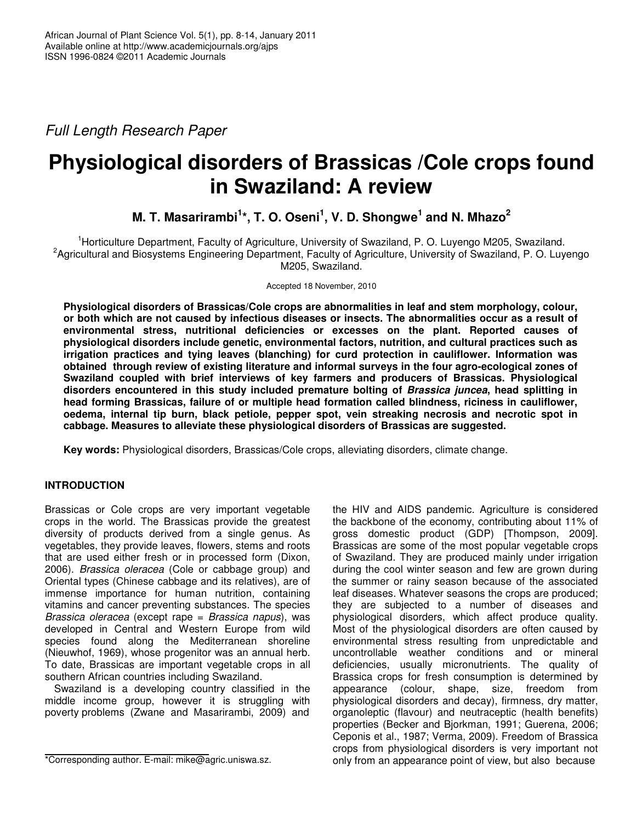*Full Length Research Paper*

# **Physiological disorders of Brassicas /Cole crops found in Swaziland: A review**

**M. T. Masarirambi 1 \*, T. O. Oseni 1 , V. D. Shongwe 1 and N. Mhazo 2**

<sup>1</sup>Horticulture Department, Faculty of Agriculture, University of Swaziland, P. O. Luyengo M205, Swaziland. <sup>2</sup> Agricultural and Biosystems Engineering Department, Faculty of Agriculture, University of Swaziland, P. O. Luyengo M205, Swaziland.

Accepted 18 November, 2010

**Physiological disorders of Brassicas/Cole crops are abnormalities in leaf and stem morphology, colour,** or both which are not caused by infectious diseases or insects. The abnormalities occur as a result of **environmental stress, nutritional deficiencies or excesses on the plant. Reported causes of physiological disorders include genetic, environmental factors, nutrition, and cultural practices such as irrigation practices and tying leaves (blanching) for curd protection in cauliflower. Information was obtained through review of existing literature and informal surveys in the four agro-ecological zones of Swaziland coupled with brief interviews of key farmers and producers of Brassicas. Physiological disorders encountered in this study included premature bolting of** *Brassica juncea***, head splitting in head forming Brassicas, failure of or multiple head formation called blindness, riciness in cauliflower, oedema, internal tip burn, black petiole, pepper spot, vein streaking necrosis and necrotic spot in cabbage. Measures to alleviate these physiological disorders of Brassicas are suggested.**

**Key words:** Physiological disorders, Brassicas/Cole crops, alleviating disorders, climate change.

# **INTRODUCTION**

Brassicas or Cole crops are very important vegetable crops in the world. The Brassicas provide the greatest diversity of products derived from a single genus. As vegetables, they provide leaves, flowers, stems and roots that are used either fresh or in processed form (Dixon, 2006). *Brassica oleracea* (Cole or cabbage group) and Oriental types (Chinese cabbage and its relatives), are of immense importance for human nutrition, containing vitamins and cancer preventing substances. The species *Brassica oleracea* (except rape = *Brassica napus*), was developed in Central and Western Europe from wild species found along the Mediterranean shoreline (Nieuwhof, 1969), whose progenitor was an annual herb. To date, Brassicas are important vegetable crops in all southern African countries including Swaziland.

Swaziland is a developing country classified in the middle income group, however it is struggling with poverty problems (Zwane and Masarirambi, 2009) and

the HIV and AIDS pandemic. Agriculture is considered the backbone of the economy, contributing about 11% of gross domestic product (GDP) [Thompson, 2009]. Brassicas are some of the most popular vegetable crops of Swaziland. They are produced mainly under irrigation during the cool winter season and few are grown during the summer or rainy season because of the associated leaf diseases. Whatever seasons the crops are produced; they are subjected to a number of diseases and physiological disorders, which affect produce quality. Most of the physiological disorders are often caused by environmental stress resulting from unpredictable and uncontrollable weather conditions and or mineral deficiencies, usually micronutrients. The quality of Brassica crops for fresh consumption is determined by appearance (colour, shape, size, freedom from physiological disorders and decay), firmness, dry matter, organoleptic (flavour) and neutraceptic (health benefits) properties (Becker and Bjorkman, 1991; Guerena, 2006; Ceponis et al., 1987; Verma, 2009). Freedom of Brassica crops from physiological disorders is very important not only from an appearance point of view, but also because

<sup>\*</sup>Corresponding author. E-mail: mike@agric.uniswa.sz.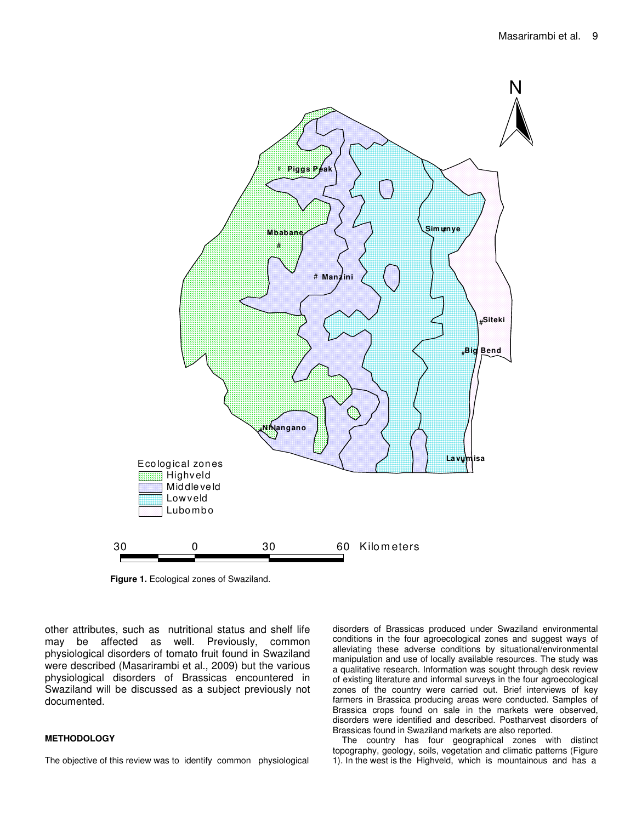

**Figure 1.** Ecological zones of Swaziland.

other attributes, such as nutritional status and shelf life may be affected as well. Previously, common physiological disorders of tomato fruit found in Swaziland were described (Masarirambi et al., 2009) but the various physiological disorders of Brassicas encountered in Swaziland will be discussed as a subject previously not documented.

#### **METHODOLOGY**

The objective of this review was to identify common physiological

disorders of Brassicas produced under Swaziland environmental conditions in the four agroecological zones and suggest ways of alleviating these adverse conditions by situational/environmental manipulation and use of locally available resources. The study was a qualitative research. Information was sought through desk review of existing literature and informal surveys in the four agroecological zones of the country were carried out. Brief interviews of key farmers in Brassica producing areas were conducted. Samples of Brassica crops found on sale in the markets were observed, disorders were identified and described. Postharvest disorders of Brassicas found in Swaziland markets are also reported.

The country has four geographical zones with distinct topography, geology, soils, vegetation and climatic patterns (Figure 1). In the west is the Highveld, which is mountainous and has a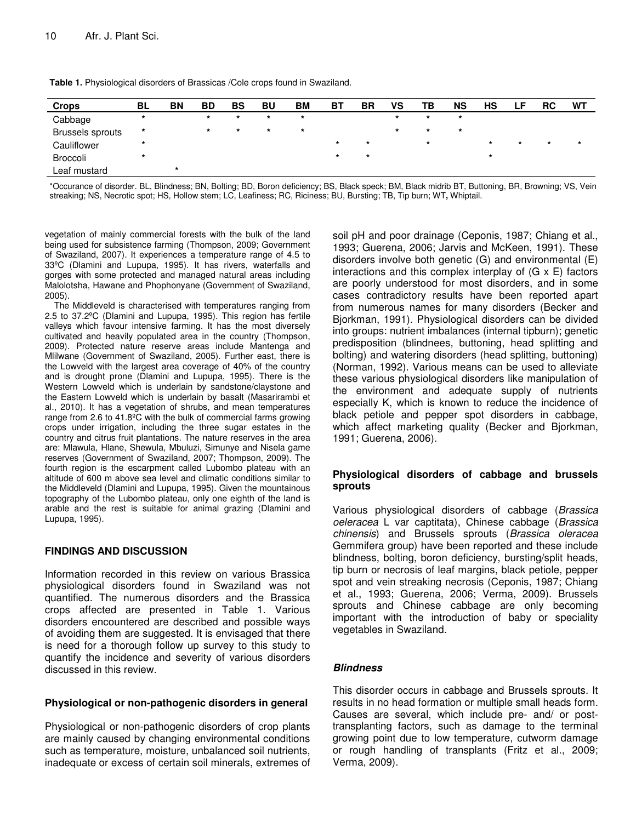| Table 1. Physiological disorders of Brassicas / Cole crops found in Swaziland. |
|--------------------------------------------------------------------------------|
|--------------------------------------------------------------------------------|

| <b>Crops</b>            | <b>BL</b> | <b>BN</b> | <b>BD</b> | BS      | <b>BU</b> | <b>BM</b> | ВT      | <b>BR</b> | VS      | ΤВ      | <b>NS</b> | HS      |         | <b>RC</b> | WT      |
|-------------------------|-----------|-----------|-----------|---------|-----------|-----------|---------|-----------|---------|---------|-----------|---------|---------|-----------|---------|
| Cabbage                 | $\star$   |           | $\star$   | $\star$ | $\star$   | $\star$   |         |           | $\star$ | $\star$ | $\star$   |         |         |           |         |
| <b>Brussels sprouts</b> | *         |           | $\star$   | $\star$ | $\star$   | $\star$   |         |           | $\star$ | $\star$ | $\star$   |         |         |           |         |
| Cauliflower             | *         |           |           |         |           |           | $\star$ | $\star$   |         | $\star$ |           | $\star$ | $\star$ | $\star$   | $\star$ |
| Broccoli                | *         |           |           |         |           |           | $\star$ | $\star$   |         |         |           | $\star$ |         |           |         |
| Leaf mustard            |           | *         |           |         |           |           |         |           |         |         |           |         |         |           |         |

\*Occurance of disorder. BL, Blindness; BN, Bolting; BD, Boron deficiency; BS, Black speck; BM, Black midrib BT, Buttoning, BR, Browning; VS, Vein streaking; NS, Necrotic spot; HS, Hollow stem; LC, Leafiness; RC, Riciness; BU, Bursting; TB, Tip burn; WT**,** Whiptail.

vegetation of mainly commercial forests with the bulk of the land being used for subsistence farming (Thompson, 2009; Government of Swaziland, 2007). It experiences a temperature range of 4.5 to 33ºC (Dlamini and Lupupa, 1995). It has rivers, waterfalls and gorges with some protected and managed natural areas including Malolotsha, Hawane and Phophonyane (Government of Swaziland, 2005).

The Middleveld is characterised with temperatures ranging from 2.5 to 37.2ºC (Dlamini and Lupupa, 1995). This region has fertile valleys which favour intensive farming. It has the most diversely cultivated and heavily populated area in the country (Thompson, 2009). Protected nature reserve areas include Mantenga and Mlilwane (Government of Swaziland, 2005). Further east, there is the Lowveld with the largest area coverage of 40% of the country and is drought prone (Dlamini and Lupupa, 1995). There is the Western Lowveld which is underlain by sandstone/claystone and the Eastern Lowveld which is underlain by basalt (Masarirambi et al., 2010). It has a vegetation of shrubs, and mean temperatures range from 2.6 to 41.8ºC with the bulk of commercial farms growing crops under irrigation, including the three sugar estates in the country and citrus fruit plantations. The nature reserves in the area are: Mlawula, Hlane, Shewula, Mbuluzi, Simunye and Nisela game reserves (Government of Swaziland, 2007; Thompson, 2009). The fourth region is the escarpment called Lubombo plateau with an altitude of 600 m above sea level and climatic conditions similar to the Middleveld (Dlamini and Lupupa, 1995). Given the mountainous topography of the Lubombo plateau, only one eighth of the land is arable and the rest is suitable for animal grazing (Dlamini and Lupupa, 1995).

#### **FINDINGS AND DISCUSSION**

Information recorded in this review on various Brassica physiological disorders found in Swaziland was not quantified. The numerous disorders and the Brassica crops affected are presented in Table 1. Various disorders encountered are described and possible ways of avoiding them are suggested. It is envisaged that there is need for a thorough follow up survey to this study to quantify the incidence and severity of various disorders discussed in this review.

#### **Physiological or non-pathogenic disorders in general**

Physiological or non-pathogenic disorders of crop plants are mainly caused by changing environmental conditions such as temperature, moisture, unbalanced soil nutrients, inadequate or excess of certain soil minerals, extremes of

soil pH and poor drainage (Ceponis, 1987; Chiang et al., 1993; Guerena, 2006; Jarvis and McKeen, 1991). These disorders involve both genetic (G) and environmental (E) interactions and this complex interplay of (G x E) factors are poorly understood for most disorders, and in some cases contradictory results have been reported apart from numerous names for many disorders (Becker and Bjorkman, 1991). Physiological disorders can be divided into groups: nutrient imbalances (internal tipburn); genetic predisposition (blindnees, buttoning, head splitting and bolting) and watering disorders (head splitting, buttoning) (Norman, 1992). Various means can be used to alleviate these various physiological disorders like manipulation of the environment and adequate supply of nutrients especially K, which is known to reduce the incidence of black petiole and pepper spot disorders in cabbage, which affect marketing quality (Becker and Bjorkman, 1991; Guerena, 2006).

## **Physiological disorders of cabbage and brussels sprouts**

Various physiological disorders of cabbage (*Brassica oeleracea* L var captitata), Chinese cabbage (*Brassica chinensis*) and Brussels sprouts (*Brassica oleracea* Gemmifera group) have been reported and these include blindness, bolting, boron deficiency, bursting/split heads, tip burn or necrosis of leaf margins, black petiole, pepper spot and vein streaking necrosis (Ceponis, 1987; Chiang et al., 1993; Guerena, 2006; Verma, 2009). Brussels sprouts and Chinese cabbage are only becoming important with the introduction of baby or speciality vegetables in Swaziland.

## *Blindness*

This disorder occurs in cabbage and Brussels sprouts. It results in no head formation or multiple small heads form. Causes are several, which include pre- and/ or posttransplanting factors, such as damage to the terminal growing point due to low temperature, cutworm damage or rough handling of transplants (Fritz et al., 2009; Verma, 2009).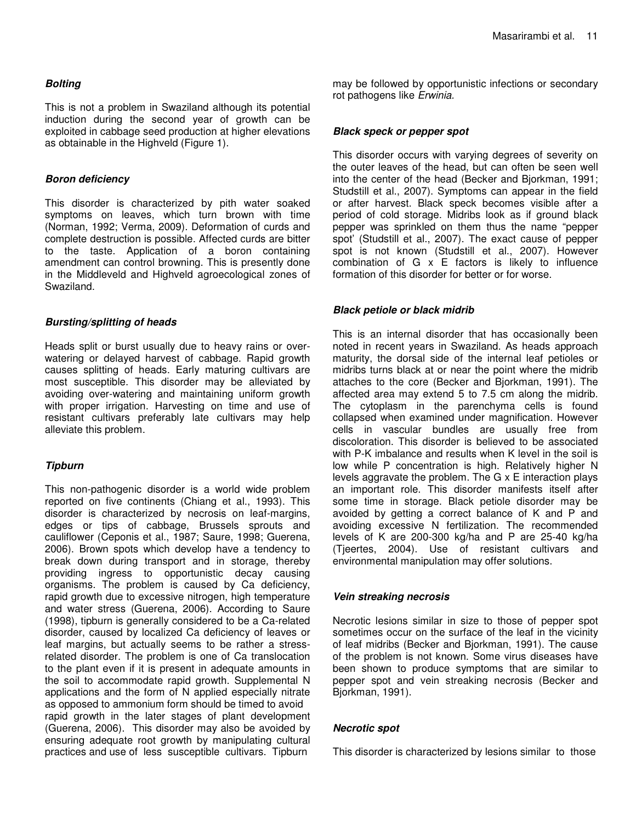## *Bolting*

This is not a problem in Swaziland although its potential induction during the second year of growth can be exploited in cabbage seed production at higher elevations as obtainable in the Highveld (Figure 1).

#### *Boron deficiency*

This disorder is characterized by pith water soaked symptoms on leaves, which turn brown with time (Norman, 1992; Verma, 2009). Deformation of curds and complete destruction is possible. Affected curds are bitter to the taste. Application of a boron containing amendment can control browning. This is presently done in the Middleveld and Highveld agroecological zones of Swaziland.

## *Bursting/splitting of heads*

Heads split or burst usually due to heavy rains or overwatering or delayed harvest of cabbage. Rapid growth causes splitting of heads. Early maturing cultivars are most susceptible. This disorder may be alleviated by avoiding over-watering and maintaining uniform growth with proper irrigation. Harvesting on time and use of resistant cultivars preferably late cultivars may help alleviate this problem.

## *Tipburn*

This non-pathogenic disorder is a world wide problem reported on five continents (Chiang et al., 1993). This disorder is characterized by necrosis on leaf-margins, edges or tips of cabbage, Brussels sprouts and cauliflower (Ceponis et al., 1987; Saure, 1998; Guerena, 2006). Brown spots which develop have a tendency to break down during transport and in storage, thereby providing ingress to opportunistic decay causing organisms. The problem is caused by Ca deficiency, rapid growth due to excessive nitrogen, high temperature and water stress (Guerena, 2006). According to Saure (1998), tipburn is generally considered to be a Ca-related disorder, caused by localized Ca deficiency of leaves or leaf margins, but actually seems to be rather a stressrelated disorder. The problem is one of Ca translocation to the plant even if it is present in adequate amounts in the soil to accommodate rapid growth. Supplemental N applications and the form of N applied especially nitrate as opposed to ammonium form should be timed to avoid rapid growth in the later stages of plant development (Guerena, 2006). This disorder may also be avoided by ensuring adequate root growth by manipulating cultural practices and use of less susceptible cultivars. Tipburn

may be followed by opportunistic infections or secondary rot pathogens like *Erwinia.*

#### *Black speck or pepper spot*

This disorder occurs with varying degrees of severity on the outer leaves of the head, but can often be seen well into the center of the head (Becker and Bjorkman, 1991; Studstill et al., 2007). Symptoms can appear in the field or after harvest. Black speck becomes visible after a period of cold storage. Midribs look as if ground black pepper was sprinkled on them thus the name "pepper spot' (Studstill et al., 2007). The exact cause of pepper spot is not known (Studstill et al., 2007). However combination of G x E factors is likely to influence formation of this disorder for better or for worse.

## *Black petiole or black midrib*

This is an internal disorder that has occasionally been noted in recent years in Swaziland. As heads approach maturity, the dorsal side of the internal leaf petioles or midribs turns black at or near the point where the midrib attaches to the core (Becker and Bjorkman, 1991). The affected area may extend 5 to 7.5 cm along the midrib. The cytoplasm in the parenchyma cells is found collapsed when examined under magnification. However cells in vascular bundles are usually free from discoloration. This disorder is believed to be associated with P-K imbalance and results when K level in the soil is low while P concentration is high. Relatively higher N levels aggravate the problem. The G x E interaction plays an important role. This disorder manifests itself after some time in storage. Black petiole disorder may be avoided by getting a correct balance of K and P and avoiding excessive N fertilization. The recommended levels of K are 200-300 kg/ha and P are 25-40 kg/ha (Tjeertes, 2004). Use of resistant cultivars and environmental manipulation may offer solutions.

#### *Vein streaking necrosis*

Necrotic lesions similar in size to those of pepper spot sometimes occur on the surface of the leaf in the vicinity of leaf midribs (Becker and Bjorkman, 1991). The cause of the problem is not known. Some virus diseases have been shown to produce symptoms that are similar to pepper spot and vein streaking necrosis (Becker and Bjorkman, 1991).

#### *Necrotic spot*

This disorder is characterized by lesions similar to those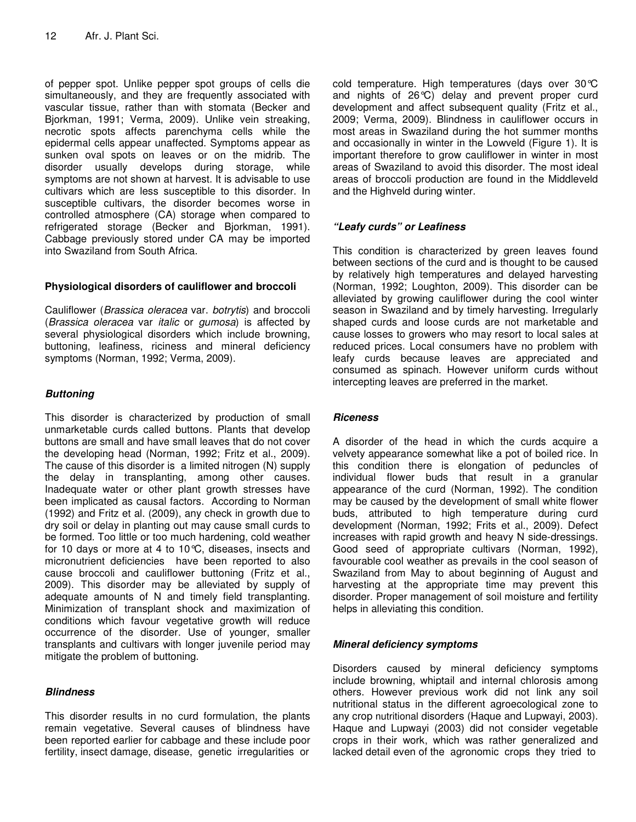of pepper spot. Unlike pepper spot groups of cells die simultaneously, and they are frequently associated with vascular tissue, rather than with stomata (Becker and Bjorkman, 1991; Verma, 2009). Unlike vein streaking, necrotic spots affects parenchyma cells while the epidermal cells appear unaffected. Symptoms appear as sunken oval spots on leaves or on the midrib. The disorder usually develops during storage, while symptoms are not shown at harvest. It is advisable to use cultivars which are less susceptible to this disorder. In susceptible cultivars, the disorder becomes worse in controlled atmosphere (CA) storage when compared to refrigerated storage (Becker and Bjorkman, 1991). Cabbage previously stored under CA may be imported into Swaziland from South Africa.

## **Physiological disorders of cauliflower and broccoli**

Cauliflower (*Brassica oleracea* var. *botrytis*) and broccoli (*Brassica oleracea* var *italic* or *gumosa*) is affected by several physiological disorders which include browning, buttoning, leafiness, riciness and mineral deficiency symptoms (Norman, 1992; Verma, 2009).

# *Buttoning*

This disorder is characterized by production of small unmarketable curds called buttons. Plants that develop buttons are small and have small leaves that do not cover the developing head (Norman, 1992; Fritz et al., 2009). The cause of this disorder is a limited nitrogen (N) supply the delay in transplanting, among other causes. Inadequate water or other plant growth stresses have been implicated as causal factors. According to Norman (1992) and Fritz et al. (2009), any check in growth due to dry soil or delay in planting out may cause small curds to be formed. Too little or too much hardening, cold weather for 10 days or more at 4 to 10°C, diseases, insects and micronutrient deficiencies have been reported to also cause broccoli and cauliflower buttoning (Fritz et al., 2009). This disorder may be alleviated by supply of adequate amounts of N and timely field transplanting. Minimization of transplant shock and maximization of conditions which favour vegetative growth will reduce occurrence of the disorder. Use of younger, smaller transplants and cultivars with longer juvenile period may mitigate the problem of buttoning.

## *Blindness*

This disorder results in no curd formulation, the plants remain vegetative. Several causes of blindness have been reported earlier for cabbage and these include poor fertility, insect damage, disease, genetic irregularities or

cold temperature. High temperatures (days over 30°C and nights of 26°C) delay and prevent proper curd development and affect subsequent quality (Fritz et al., 2009; Verma, 2009). Blindness in cauliflower occurs in most areas in Swaziland during the hot summer months and occasionally in winter in the Lowveld (Figure 1). It is important therefore to grow cauliflower in winter in most areas of Swaziland to avoid this disorder. The most ideal areas of broccoli production are found in the Middleveld and the Highveld during winter.

## *"Leafy curds" or Leafiness*

This condition is characterized by green leaves found between sections of the curd and is thought to be caused by relatively high temperatures and delayed harvesting (Norman, 1992; Loughton, 2009). This disorder can be alleviated by growing cauliflower during the cool winter season in Swaziland and by timely harvesting. Irregularly shaped curds and loose curds are not marketable and cause losses to growers who may resort to local sales at reduced prices. Local consumers have no problem with leafy curds because leaves are appreciated and consumed as spinach. However uniform curds without intercepting leaves are preferred in the market.

## *Riceness*

A disorder of the head in which the curds acquire a velvety appearance somewhat like a pot of boiled rice. In this condition there is elongation of peduncles of individual flower buds that result in a granular appearance of the curd (Norman, 1992). The condition may be caused by the development of small white flower buds, attributed to high temperature during curd development (Norman, 1992; Frits et al., 2009). Defect increases with rapid growth and heavy N side-dressings. Good seed of appropriate cultivars (Norman, 1992), favourable cool weather as prevails in the cool season of Swaziland from May to about beginning of August and harvesting at the appropriate time may prevent this disorder. Proper management of soil moisture and fertility helps in alleviating this condition.

# *Mineral deficiency symptoms*

Disorders caused by mineral deficiency symptoms include browning, whiptail and internal chlorosis among others. However previous work did not link any soil nutritional status in the different agroecological zone to any crop nutritional disorders (Haque and Lupwayi, 2003). Haque and Lupwayi (2003) did not consider vegetable crops in their work, which was rather generalized and lacked detail even of the agronomic crops they tried to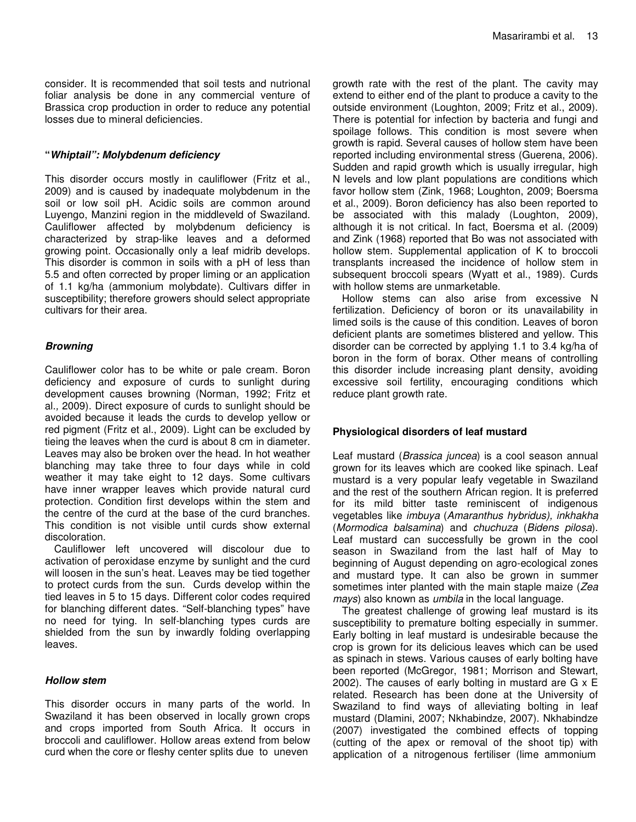consider. It is recommended that soil tests and nutrional foliar analysis be done in any commercial venture of Brassica crop production in order to reduce any potential losses due to mineral deficiencies.

#### **"***Whiptail": Molybdenum deficiency*

This disorder occurs mostly in cauliflower (Fritz et al., 2009) and is caused by inadequate molybdenum in the soil or low soil pH. Acidic soils are common around Luyengo, Manzini region in the middleveld of Swaziland. Cauliflower affected by molybdenum deficiency is characterized by strap-like leaves and a deformed growing point. Occasionally only a leaf midrib develops. This disorder is common in soils with a pH of less than 5.5 and often corrected by proper liming or an application of 1.1 kg/ha (ammonium molybdate). Cultivars differ in susceptibility; therefore growers should select appropriate cultivars for their area.

## *Browning*

Cauliflower color has to be white or pale cream. Boron deficiency and exposure of curds to sunlight during development causes browning (Norman, 1992; Fritz et al*.,* 2009). Direct exposure of curds to sunlight should be avoided because it leads the curds to develop yellow or red pigment (Fritz et al., 2009). Light can be excluded by tieing the leaves when the curd is about 8 cm in diameter. Leaves may also be broken over the head. In hot weather blanching may take three to four days while in cold weather it may take eight to 12 days. Some cultivars have inner wrapper leaves which provide natural curd protection. Condition first develops within the stem and the centre of the curd at the base of the curd branches. This condition is not visible until curds show external discoloration.

Cauliflower left uncovered will discolour due to activation of peroxidase enzyme by sunlight and the curd will loosen in the sun's heat. Leaves may be tied together to protect curds from the sun. Curds develop within the tied leaves in 5 to 15 days. Different color codes required for blanching different dates. "Self-blanching types" have no need for tying. In self-blanching types curds are shielded from the sun by inwardly folding overlapping leaves.

#### *Hollow stem*

This disorder occurs in many parts of the world. In Swaziland it has been observed in locally grown crops and crops imported from South Africa. It occurs in broccoli and cauliflower. Hollow areas extend from below curd when the core or fleshy center splits due to uneven

growth rate with the rest of the plant. The cavity may extend to either end of the plant to produce a cavity to the outside environment (Loughton, 2009; Fritz et al., 2009). There is potential for infection by bacteria and fungi and spoilage follows. This condition is most severe when growth is rapid. Several causes of hollow stem have been reported including environmental stress (Guerena, 2006). Sudden and rapid growth which is usually irregular, high N levels and low plant populations are conditions which favor hollow stem (Zink, 1968; Loughton, 2009; Boersma et al., 2009). Boron deficiency has also been reported to be associated with this malady (Loughton, 2009), although it is not critical. In fact, Boersma et al. (2009) and Zink (1968) reported that Bo was not associated with hollow stem. Supplemental application of K to broccoli transplants increased the incidence of hollow stem in subsequent broccoli spears (Wyatt et al., 1989). Curds with hollow stems are unmarketable.

Hollow stems can also arise from excessive N fertilization. Deficiency of boron or its unavailability in limed soils is the cause of this condition. Leaves of boron deficient plants are sometimes blistered and yellow. This disorder can be corrected by applying 1.1 to 3.4 kg/ha of boron in the form of borax. Other means of controlling this disorder include increasing plant density, avoiding excessive soil fertility, encouraging conditions which reduce plant growth rate.

## **Physiological disorders of leaf mustard**

Leaf mustard (*Brassica juncea*) is a cool season annual grown for its leaves which are cooked like spinach. Leaf mustard is a very popular leafy vegetable in Swaziland and the rest of the southern African region. It is preferred for its mild bitter taste reminiscent of indigenous vegetables like *imbuya* (*Amaranthus hybridus), inkhakha* (*Mormodica balsamina*) and *chuchuza* (*Bidens pilosa*). Leaf mustard can successfully be grown in the cool season in Swaziland from the last half of May to beginning of August depending on agro-ecological zones and mustard type. It can also be grown in summer sometimes inter planted with the main staple maize (*Zea mays*) also known as *umbila* in the local language.

The greatest challenge of growing leaf mustard is its susceptibility to premature bolting especially in summer. Early bolting in leaf mustard is undesirable because the crop is grown for its delicious leaves which can be used as spinach in stews. Various causes of early bolting have been reported (McGregor, 1981; Morrison and Stewart, 2002). The causes of early bolting in mustard are G x E related. Research has been done at the University of Swaziland to find ways of alleviating bolting in leaf mustard (Dlamini, 2007; Nkhabindze, 2007). Nkhabindze (2007) investigated the combined effects of topping (cutting of the apex or removal of the shoot tip) with application of a nitrogenous fertiliser (lime ammonium